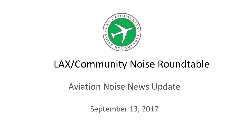

# LAX/Community Noise Roundtable

#### Aviation Noise News Update

September 13, 2017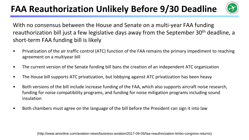### **FAA Reauthorization Unlikely Before 9/30 Deadline**



With no consensus between the House and Senate on a multi-year FAA funding reauthorization bill just a few legislative days away from the September 30<sup>th</sup> deadline, a short-term FAA funding bill is likely

- Privatization of the air traffic control (ATC) function of the FAA remains the primary impediment to reaching agreement on a multiyear bill
- The current version of the Senate funding bill bans the creation of an independent ATC organization
- The House bill supports ATC privatization, but lobbying against ATC privatization has been heavy
- Both versions of the bill include increase funding of the FAA, which also supports aircraft noise research, funding for noise compatibility programs, and funding for noise mitigation programs including sound insulation
- Both chambers must agree on the language of the bill before the President can sign it into law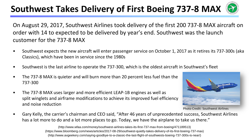## **Southwest Takes Delivery of First Boeing 737-8 MAX**



On August 29, 2017, Southwest Airlines took delivery of the first 200 737-8 MAX aircraft on order with 14 to expected to be delivered by year's end. Southwest was the launch customer for the 737-8 MAX

- Southwest expects the new aircraft will enter passenger service on October 1, 2017 as it retires its 737-300s (aka Classics), which have been in service since the 1980s
- Southwest is the last airline to operate the 737-300, which is the oldest aircraft in Southwest's fleet
- The 737-8 MAX is quieter and will burn more than 20 percent less fuel than the 737-300
- The 737-8 MAX uses larger and more efficient LEAP-1B engines as well as split winglets and airframe modifications to achieve its improved fuel efficiency and noise reduction



Photo Credit: Southwest Airlines

• Gary Kelly, the carrier's chairman and CEO said, "After 46 years of unprecedented success, Southwest Airlines has a lot more to do and a lot more places to go. Today, we have the airplane to take us there."

> (https://www.bloomberg.com/news/articles/2017-08-29/southwest-quietly-takes-delivery-of-its-first-boeing-737-max) (http://www.avgeekery.com/saying-goodbye-to-a-classic-the-last-flight-of-southwests-boeing-737-300s-is-near/) (http://www.wfaa.com/money/southwest-airlines-takes-its-first-737-max-from-boeing/471189513)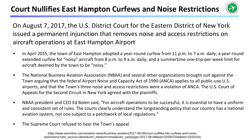

On August 7, 2017, the U.S. District Court for the Eastern District of New York issued a permanent injunction that removes noise and access restrictions on aircraft operations at East Hampton Airport

- In April 2015, the town of East Hampton adopted a year-round curfew from 11 p.m. to 7 a.m. daily; a year-round extended curfew for "noisy" aircraft from 8 p.m. to 9 a.m. daily; and a summertime one-trip-per-week limit for aircraft deemed by the town to be "noisy."
- The National Business Aviation Association (NBAA) and several other organizations brought suit against the Town arguing that the federal Airport Noise and Capacity Act of 1990 (ANCA) applies to all public-use U.S. airports, and that the Town's three noise and access restrictions were a violation of ANCA. The U.S. Court of Appeals for the Second Circuit in New York agreed with the plaintiffs.
- NBAA president and CEO Ed Bolen said, "For aircraft operations to be successful, it is essential to have a uniform and consistent set of rules. The courts clearly understand the longstanding policy that our country has a national aviation system, not one subject to a patchwork of local regulations."
- The Supreme Court refused to hear the Town's appeal.

(http://www.ainonline.com/aviation-news/business-aviation/2017-08-08/court-nullifies-hto-curfews-and-noiserestrictions?utm\_source=alerts&utm\_medium=email&utm\_campaign=2017-08-08&eid=325907546&bid=1833154)